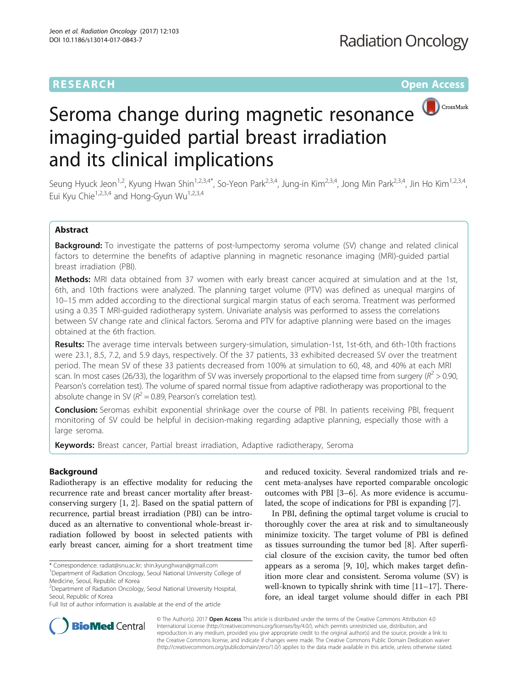# **RESEARCH CHE Open Access**



# Seroma change during magnetic resonance imaging-guided partial breast irradiation and its clinical implications

Seung Hyuck Jeon<sup>1,2</sup>, Kyung Hwan Shin<sup>1,2,3,4\*</sup>, So-Yeon Park<sup>2,3,4</sup>, Jung-in Kim<sup>2,3,4</sup>, Jong Min Park<sup>2,3,4</sup>, Jin Ho Kim<sup>1,2,3,4</sup>, Eui Kyu Chie<sup>1,2,3,4</sup> and Hong-Gyun Wu<sup>1,2,3,4</sup>

# Abstract

**Background:** To investigate the patterns of post-lumpectomy seroma volume (SV) change and related clinical factors to determine the benefits of adaptive planning in magnetic resonance imaging (MRI)-guided partial breast irradiation (PBI).

Methods: MRI data obtained from 37 women with early breast cancer acquired at simulation and at the 1st, 6th, and 10th fractions were analyzed. The planning target volume (PTV) was defined as unequal margins of 10–15 mm added according to the directional surgical margin status of each seroma. Treatment was performed using a 0.35 T MRI-guided radiotherapy system. Univariate analysis was performed to assess the correlations between SV change rate and clinical factors. Seroma and PTV for adaptive planning were based on the images obtained at the 6th fraction.

Results: The average time intervals between surgery-simulation, simulation-1st, 1st-6th, and 6th-10th fractions were 23.1, 8.5, 7.2, and 5.9 days, respectively. Of the 37 patients, 33 exhibited decreased SV over the treatment period. The mean SV of these 33 patients decreased from 100% at simulation to 60, 48, and 40% at each MRI scan. In most cases (26/33), the logarithm of SV was inversely proportional to the elapsed time from surgery ( $R^2 > 0.90$ , Pearson's correlation test). The volume of spared normal tissue from adaptive radiotherapy was proportional to the absolute change in SV ( $R^2$  = 0.89, Pearson's correlation test).

**Conclusion:** Seromas exhibit exponential shrinkage over the course of PBI. In patients receiving PBI, frequent monitoring of SV could be helpful in decision-making regarding adaptive planning, especially those with a large seroma.

Keywords: Breast cancer, Partial breast irradiation, Adaptive radiotherapy, Seroma

# Background

Radiotherapy is an effective modality for reducing the recurrence rate and breast cancer mortality after breastconserving surgery [\[1](#page-5-0), [2\]](#page-6-0). Based on the spatial pattern of recurrence, partial breast irradiation (PBI) can be introduced as an alternative to conventional whole-breast irradiation followed by boost in selected patients with early breast cancer, aiming for a short treatment time

\* Correspondence: [radiat@snu.ac.kr;](mailto:radiat@snu.ac.kr) [shin.kyunghwan@gmail.com](mailto:shin.kyunghwan@gmail.com) <sup>1</sup>

and reduced toxicity. Several randomized trials and recent meta-analyses have reported comparable oncologic outcomes with PBI [\[3](#page-6-0)–[6](#page-6-0)]. As more evidence is accumulated, the scope of indications for PBI is expanding [\[7](#page-6-0)].

In PBI, defining the optimal target volume is crucial to thoroughly cover the area at risk and to simultaneously minimize toxicity. The target volume of PBI is defined as tissues surrounding the tumor bed [\[8](#page-6-0)]. After superficial closure of the excision cavity, the tumor bed often appears as a seroma [[9, 10\]](#page-6-0), which makes target definition more clear and consistent. Seroma volume (SV) is well-known to typically shrink with time [[11](#page-6-0)–[17\]](#page-6-0). Therefore, an ideal target volume should differ in each PBI



© The Author(s). 2017 **Open Access** This article is distributed under the terms of the Creative Commons Attribution 4.0 International License [\(http://creativecommons.org/licenses/by/4.0/](http://creativecommons.org/licenses/by/4.0/)), which permits unrestricted use, distribution, and reproduction in any medium, provided you give appropriate credit to the original author(s) and the source, provide a link to the Creative Commons license, and indicate if changes were made. The Creative Commons Public Domain Dedication waiver [\(http://creativecommons.org/publicdomain/zero/1.0/](http://creativecommons.org/publicdomain/zero/1.0/)) applies to the data made available in this article, unless otherwise stated.

<sup>&</sup>lt;sup>1</sup>Department of Radiation Oncology, Seoul National University College of Medicine, Seoul, Republic of Korea

<sup>2</sup> Department of Radiation Oncology, Seoul National University Hospital, Seoul, Republic of Korea

Full list of author information is available at the end of the article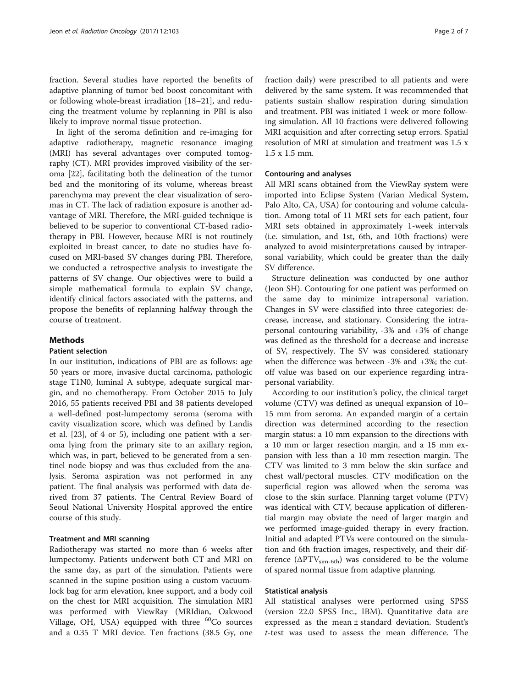fraction. Several studies have reported the benefits of adaptive planning of tumor bed boost concomitant with or following whole-breast irradiation [\[18](#page-6-0)–[21](#page-6-0)], and reducing the treatment volume by replanning in PBI is also likely to improve normal tissue protection.

In light of the seroma definition and re-imaging for adaptive radiotherapy, magnetic resonance imaging (MRI) has several advantages over computed tomography (CT). MRI provides improved visibility of the seroma [[22](#page-6-0)], facilitating both the delineation of the tumor bed and the monitoring of its volume, whereas breast parenchyma may prevent the clear visualization of seromas in CT. The lack of radiation exposure is another advantage of MRI. Therefore, the MRI-guided technique is believed to be superior to conventional CT-based radiotherapy in PBI. However, because MRI is not routinely exploited in breast cancer, to date no studies have focused on MRI-based SV changes during PBI. Therefore, we conducted a retrospective analysis to investigate the patterns of SV change. Our objectives were to build a simple mathematical formula to explain SV change, identify clinical factors associated with the patterns, and propose the benefits of replanning halfway through the course of treatment.

# **Methods**

## Patient selection

In our institution, indications of PBI are as follows: age 50 years or more, invasive ductal carcinoma, pathologic stage T1N0, luminal A subtype, adequate surgical margin, and no chemotherapy. From October 2015 to July 2016, 55 patients received PBI and 38 patients developed a well-defined post-lumpectomy seroma (seroma with cavity visualization score, which was defined by Landis et al. [[23](#page-6-0)], of 4 or 5), including one patient with a seroma lying from the primary site to an axillary region, which was, in part, believed to be generated from a sentinel node biopsy and was thus excluded from the analysis. Seroma aspiration was not performed in any patient. The final analysis was performed with data derived from 37 patients. The Central Review Board of Seoul National University Hospital approved the entire course of this study.

# Treatment and MRI scanning

Radiotherapy was started no more than 6 weeks after lumpectomy. Patients underwent both CT and MRI on the same day, as part of the simulation. Patients were scanned in the supine position using a custom vacuumlock bag for arm elevation, knee support, and a body coil on the chest for MRI acquisition. The simulation MRI was performed with ViewRay (MRIdian, Oakwood Village, OH, USA) equipped with three <sup>60</sup>Co sources and a 0.35 T MRI device. Ten fractions (38.5 Gy, one fraction daily) were prescribed to all patients and were delivered by the same system. It was recommended that patients sustain shallow respiration during simulation and treatment. PBI was initiated 1 week or more following simulation. All 10 fractions were delivered following MRI acquisition and after correcting setup errors. Spatial resolution of MRI at simulation and treatment was 1.5 x 1.5 x 1.5 mm.

## Contouring and analyses

All MRI scans obtained from the ViewRay system were imported into Eclipse System (Varian Medical System, Palo Alto, CA, USA) for contouring and volume calculation. Among total of 11 MRI sets for each patient, four MRI sets obtained in approximately 1-week intervals (i.e. simulation, and 1st, 6th, and 10th fractions) were analyzed to avoid misinterpretations caused by intrapersonal variability, which could be greater than the daily SV difference.

Structure delineation was conducted by one author (Jeon SH). Contouring for one patient was performed on the same day to minimize intrapersonal variation. Changes in SV were classified into three categories: decrease, increase, and stationary. Considering the intrapersonal contouring variability, -3% and +3% of change was defined as the threshold for a decrease and increase of SV, respectively. The SV was considered stationary when the difference was between -3% and +3%; the cutoff value was based on our experience regarding intrapersonal variability.

According to our institution's policy, the clinical target volume (CTV) was defined as unequal expansion of 10– 15 mm from seroma. An expanded margin of a certain direction was determined according to the resection margin status: a 10 mm expansion to the directions with a 10 mm or larger resection margin, and a 15 mm expansion with less than a 10 mm resection margin. The CTV was limited to 3 mm below the skin surface and chest wall/pectoral muscles. CTV modification on the superficial region was allowed when the seroma was close to the skin surface. Planning target volume (PTV) was identical with CTV, because application of differential margin may obviate the need of larger margin and we performed image-guided therapy in every fraction. Initial and adapted PTVs were contoured on the simulation and 6th fraction images, respectively, and their difference ( $\Delta$ PTV<sub>sim-6th</sub>) was considered to be the volume of spared normal tissue from adaptive planning.

#### Statistical analysis

All statistical analyses were performed using SPSS (version 22.0 SPSS Inc., IBM). Quantitative data are expressed as the mean ± standard deviation. Student's t-test was used to assess the mean difference. The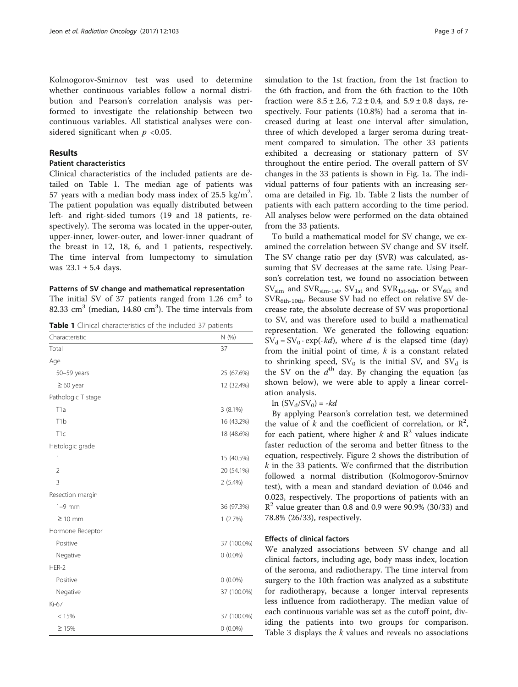<span id="page-2-0"></span>Kolmogorov-Smirnov test was used to determine whether continuous variables follow a normal distribution and Pearson's correlation analysis was performed to investigate the relationship between two continuous variables. All statistical analyses were considered significant when  $p < 0.05$ .

#### Results

# Patient characteristics

Clinical characteristics of the included patients are detailed on Table 1. The median age of patients was 57 years with a median body mass index of 25.5 kg/m<sup>2</sup>. The patient population was equally distributed between left- and right-sided tumors (19 and 18 patients, respectively). The seroma was located in the upper-outer, upper-inner, lower-outer, and lower-inner quadrant of the breast in 12, 18, 6, and 1 patients, respectively. The time interval from lumpectomy to simulation was  $23.1 \pm 5.4$  days.

# Patterns of SV change and mathematical representation

The initial SV of 37 patients ranged from  $1.26 \text{ cm}^3$  to 82.33  $\text{cm}^3$  (median, 14.80  $\text{cm}^3$ ). The time intervals from

Table 1 Clinical characteristics of the included 37 patients

| Characteristic     | N (%)       |
|--------------------|-------------|
| Total              | 37          |
| Age                |             |
| 50-59 years        | 25 (67.6%)  |
| $\geq 60$ year     | 12 (32.4%)  |
| Pathologic T stage |             |
| T <sub>1</sub> a   | 3 (8.1%)    |
| T <sub>1</sub> b   | 16 (43.2%)  |
| T <sub>1c</sub>    | 18 (48.6%)  |
| Histologic grade   |             |
| 1                  | 15 (40.5%)  |
| $\overline{2}$     | 20 (54.1%)  |
| 3                  | $2(5.4\%)$  |
| Resection margin   |             |
| $1-9$ mm           | 36 (97.3%)  |
| $\geq 10$ mm       | 1(2.7%)     |
| Hormone Receptor   |             |
| Positive           | 37 (100.0%) |
| Negative           | $0(0.0\%)$  |
| HER-2              |             |
| Positive           | $0(0.0\%)$  |
| Negative           | 37 (100.0%) |
| Ki-67              |             |
| < 15%              | 37 (100.0%) |
| $\geq 15%$         | $0(0.0\%)$  |

simulation to the 1st fraction, from the 1st fraction to the 6th fraction, and from the 6th fraction to the 10th fraction were  $8.5 \pm 2.6$ ,  $7.2 \pm 0.4$ , and  $5.9 \pm 0.8$  days, respectively. Four patients (10.8%) had a seroma that increased during at least one interval after simulation, three of which developed a larger seroma during treatment compared to simulation. The other 33 patients exhibited a decreasing or stationary pattern of SV throughout the entire period. The overall pattern of SV changes in the 33 patients is shown in Fig. [1a](#page-3-0). The individual patterns of four patients with an increasing seroma are detailed in Fig. [1b](#page-3-0). Table [2](#page-3-0) lists the number of patients with each pattern according to the time period. All analyses below were performed on the data obtained from the 33 patients.

To build a mathematical model for SV change, we examined the correlation between SV change and SV itself. The SV change ratio per day (SVR) was calculated, assuming that SV decreases at the same rate. Using Pearson's correlation test, we found no association between  $\mathrm{SV}_{\mathrm{sim}}$  and  $\mathrm{SVR}_{\mathrm{sim\text{-}1st}}$   $\mathrm{SV}_{\mathrm{1st}}$  and  $\mathrm{SVR}_{\mathrm{1st\text{-}6th}}$  or  $\mathrm{SV}_{\mathrm{6th}}$  and  $SVR_{6th-10th}$ . Because SV had no effect on relative SV decrease rate, the absolute decrease of SV was proportional to SV, and was therefore used to build a mathematical representation. We generated the following equation:  $SV_d = SV_0 \cdot exp(-kd)$ , where d is the elapsed time (day) from the initial point of time,  $k$  is a constant related to shrinking speed,  $SV_0$  is the initial SV, and  $SV_d$  is the SV on the  $d<sup>th</sup>$  day. By changing the equation (as shown below), we were able to apply a linear correlation analysis.

 $\ln (SV_d/SV_0) = -kd$ 

By applying Pearson's correlation test, we determined the value of k and the coefficient of correlation, or  $\mathbb{R}^2$ , for each patient, where higher k and  $\mathbb{R}^2$  values indicate faster reduction of the seroma and better fitness to the equation, respectively. Figure [2](#page-4-0) shows the distribution of  $k$  in the 33 patients. We confirmed that the distribution followed a normal distribution (Kolmogorov-Smirnov test), with a mean and standard deviation of 0.046 and 0.023, respectively. The proportions of patients with an  $R<sup>2</sup>$  value greater than 0.8 and 0.9 were 90.9% (30/33) and 78.8% (26/33), respectively.

## Effects of clinical factors

We analyzed associations between SV change and all clinical factors, including age, body mass index, location of the seroma, and radiotherapy. The time interval from surgery to the 10th fraction was analyzed as a substitute for radiotherapy, because a longer interval represents less influence from radiotherapy. The median value of each continuous variable was set as the cutoff point, dividing the patients into two groups for comparison. Table [3](#page-4-0) displays the  $k$  values and reveals no associations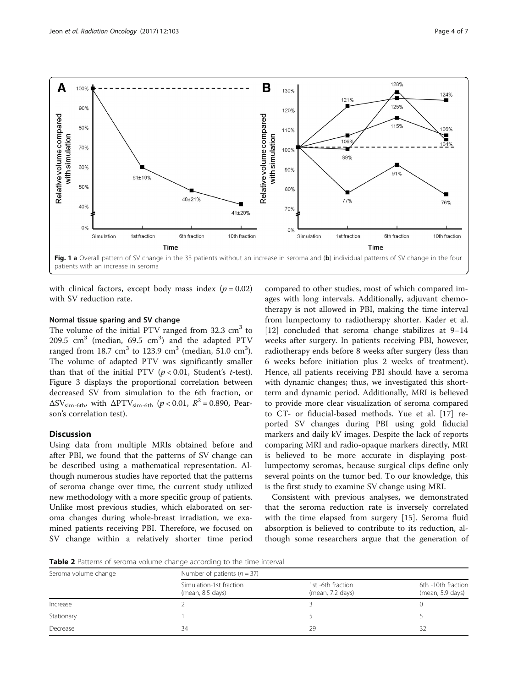<span id="page-3-0"></span>

with clinical factors, except body mass index ( $p = 0.02$ ) with SV reduction rate.

#### Normal tissue sparing and SV change

The volume of the initial PTV ranged from  $32.3 \text{ cm}^3$  to 209.5  $\text{cm}^3$  (median, 69.5  $\text{cm}^3$ ) and the adapted PTV ranged from  $18.7 \text{ cm}^3$  to  $123.9 \text{ cm}^3$  (median,  $51.0 \text{ cm}^3$ ). The volume of adapted PTV was significantly smaller than that of the initial PTV  $(p < 0.01$ , Student's t-test). Figure [3](#page-4-0) displays the proportional correlation between decreased SV from simulation to the 6th fraction, or  $\Delta$ SV<sub>sim-6th</sub>, with  $\Delta$ PTV<sub>sim-6th</sub> ( $p < 0.01$ ,  $R^2 = 0.890$ , Pearson's correlation test).

## **Discussion**

Using data from multiple MRIs obtained before and after PBI, we found that the patterns of SV change can be described using a mathematical representation. Although numerous studies have reported that the patterns of seroma change over time, the current study utilized new methodology with a more specific group of patients. Unlike most previous studies, which elaborated on seroma changes during whole-breast irradiation, we examined patients receiving PBI. Therefore, we focused on SV change within a relatively shorter time period

compared to other studies, most of which compared images with long intervals. Additionally, adjuvant chemotherapy is not allowed in PBI, making the time interval from lumpectomy to radiotherapy shorter. Kader et al. [[12\]](#page-6-0) concluded that seroma change stabilizes at 9–14 weeks after surgery. In patients receiving PBI, however, radiotherapy ends before 8 weeks after surgery (less than 6 weeks before initiation plus 2 weeks of treatment). Hence, all patients receiving PBI should have a seroma with dynamic changes; thus, we investigated this shortterm and dynamic period. Additionally, MRI is believed to provide more clear visualization of seroma compared to CT- or fiducial-based methods. Yue et al. [[17\]](#page-6-0) reported SV changes during PBI using gold fiducial markers and daily kV images. Despite the lack of reports comparing MRI and radio-opaque markers directly, MRI is believed to be more accurate in displaying postlumpectomy seromas, because surgical clips define only several points on the tumor bed. To our knowledge, this is the first study to examine SV change using MRI.

Consistent with previous analyses, we demonstrated that the seroma reduction rate is inversely correlated with the time elapsed from surgery [[15\]](#page-6-0). Seroma fluid absorption is believed to contribute to its reduction, although some researchers argue that the generation of

Table 2 Patterns of seroma volume change according to the time interval

| Seroma volume change | Number of patients $(n = 37)$               |                                       |                                        |  |
|----------------------|---------------------------------------------|---------------------------------------|----------------------------------------|--|
|                      | Simulation-1st fraction<br>(mean, 8.5 days) | 1st -6th fraction<br>(mean, 7.2 days) | 6th -10th fraction<br>(mean, 5.9 days) |  |
| Increase             |                                             |                                       |                                        |  |
| Stationary           |                                             |                                       |                                        |  |
| Decrease             | 34                                          | 29                                    | 32                                     |  |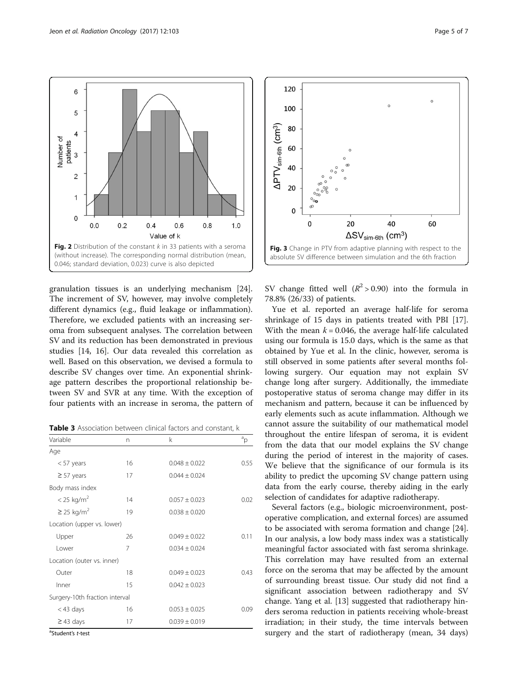<span id="page-4-0"></span>

granulation tissues is an underlying mechanism [\[24](#page-6-0)]. The increment of SV, however, may involve completely different dynamics (e.g., fluid leakage or inflammation). Therefore, we excluded patients with an increasing seroma from subsequent analyses. The correlation between SV and its reduction has been demonstrated in previous studies [\[14, 16\]](#page-6-0). Our data revealed this correlation as well. Based on this observation, we devised a formula to describe SV changes over time. An exponential shrinkage pattern describes the proportional relationship between SV and SVR at any time. With the exception of four patients with an increase in seroma, the pattern of

**Table 3** Association between clinical factors and constant, k

| Variable                       | n  | k                 | ${}^{a}p$ |
|--------------------------------|----|-------------------|-----------|
| Age                            |    |                   |           |
| $<$ 57 years                   | 16 | $0.048 \pm 0.022$ | 0.55      |
| $\geq$ 57 years                | 17 | $0.044 \pm 0.024$ |           |
| Body mass index                |    |                   |           |
| $< 25 \text{ kg/m}^2$          | 14 | $0.057 \pm 0.023$ | 0.02      |
| $\geq$ 25 kg/m <sup>2</sup>    | 19 | $0.038 \pm 0.020$ |           |
| Location (upper vs. lower)     |    |                   |           |
| Upper                          | 26 | $0.049 \pm 0.022$ | 0.11      |
| I ower                         | 7  | $0.034 \pm 0.024$ |           |
| Location (outer vs. inner)     |    |                   |           |
| Outer                          | 18 | $0.049 \pm 0.023$ | 0.43      |
| Inner                          | 15 | $0.042 \pm 0.023$ |           |
| Surgery-10th fraction interval |    |                   |           |
| $<$ 43 days                    | 16 | $0.053 \pm 0.025$ | 0.09      |
| $\geq$ 43 days                 | 17 | $0.039 + 0.019$   |           |

<sup>a</sup>Student's *t*-test



SV change fitted well  $(R^2 > 0.90)$  into the formula in 78.8% (26/33) of patients.

Yue et al. reported an average half-life for seroma shrinkage of 15 days in patients treated with PBI [\[17](#page-6-0)]. With the mean  $k = 0.046$ , the average half-life calculated using our formula is 15.0 days, which is the same as that obtained by Yue et al. In the clinic, however, seroma is still observed in some patients after several months following surgery. Our equation may not explain SV change long after surgery. Additionally, the immediate postoperative status of seroma change may differ in its mechanism and pattern, because it can be influenced by early elements such as acute inflammation. Although we cannot assure the suitability of our mathematical model throughout the entire lifespan of seroma, it is evident from the data that our model explains the SV change during the period of interest in the majority of cases. We believe that the significance of our formula is its ability to predict the upcoming SV change pattern using data from the early course, thereby aiding in the early selection of candidates for adaptive radiotherapy.

Several factors (e.g., biologic microenvironment, postoperative complication, and external forces) are assumed to be associated with seroma formation and change [\[24](#page-6-0)]. In our analysis, a low body mass index was a statistically meaningful factor associated with fast seroma shrinkage. This correlation may have resulted from an external force on the seroma that may be affected by the amount of surrounding breast tissue. Our study did not find a significant association between radiotherapy and SV change. Yang et al. [\[13](#page-6-0)] suggested that radiotherapy hinders seroma reduction in patients receiving whole-breast irradiation; in their study, the time intervals between surgery and the start of radiotherapy (mean, 34 days)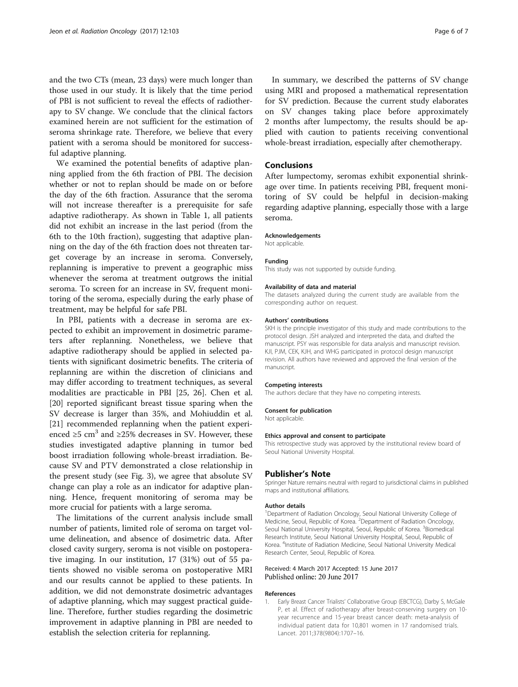<span id="page-5-0"></span>and the two CTs (mean, 23 days) were much longer than those used in our study. It is likely that the time period of PBI is not sufficient to reveal the effects of radiotherapy to SV change. We conclude that the clinical factors examined herein are not sufficient for the estimation of seroma shrinkage rate. Therefore, we believe that every patient with a seroma should be monitored for successful adaptive planning.

We examined the potential benefits of adaptive planning applied from the 6th fraction of PBI. The decision whether or not to replan should be made on or before the day of the 6th fraction. Assurance that the seroma will not increase thereafter is a prerequisite for safe adaptive radiotherapy. As shown in Table [1](#page-2-0), all patients did not exhibit an increase in the last period (from the 6th to the 10th fraction), suggesting that adaptive planning on the day of the 6th fraction does not threaten target coverage by an increase in seroma. Conversely, replanning is imperative to prevent a geographic miss whenever the seroma at treatment outgrows the initial seroma. To screen for an increase in SV, frequent monitoring of the seroma, especially during the early phase of treatment, may be helpful for safe PBI.

In PBI, patients with a decrease in seroma are expected to exhibit an improvement in dosimetric parameters after replanning. Nonetheless, we believe that adaptive radiotherapy should be applied in selected patients with significant dosimetric benefits. The criteria of replanning are within the discretion of clinicians and may differ according to treatment techniques, as several modalities are practicable in PBI [[25](#page-6-0), [26](#page-6-0)]. Chen et al. [[20\]](#page-6-0) reported significant breast tissue sparing when the SV decrease is larger than 35%, and Mohiuddin et al. [[21\]](#page-6-0) recommended replanning when the patient experienced  $\geq$ 5 cm<sup>3</sup> and  $\geq$ 25% decreases in SV. However, these studies investigated adaptive planning in tumor bed boost irradiation following whole-breast irradiation. Because SV and PTV demonstrated a close relationship in the present study (see Fig. [3\)](#page-4-0), we agree that absolute SV change can play a role as an indicator for adaptive planning. Hence, frequent monitoring of seroma may be more crucial for patients with a large seroma.

The limitations of the current analysis include small number of patients, limited role of seroma on target volume delineation, and absence of dosimetric data. After closed cavity surgery, seroma is not visible on postoperative imaging. In our institution, 17 (31%) out of 55 patients showed no visible seroma on postoperative MRI and our results cannot be applied to these patients. In addition, we did not demonstrate dosimetric advantages of adaptive planning, which may suggest practical guideline. Therefore, further studies regarding the dosimetric improvement in adaptive planning in PBI are needed to establish the selection criteria for replanning.

In summary, we described the patterns of SV change using MRI and proposed a mathematical representation for SV prediction. Because the current study elaborates on SV changes taking place before approximately 2 months after lumpectomy, the results should be applied with caution to patients receiving conventional whole-breast irradiation, especially after chemotherapy.

### Conclusions

After lumpectomy, seromas exhibit exponential shrinkage over time. In patients receiving PBI, frequent monitoring of SV could be helpful in decision-making regarding adaptive planning, especially those with a large seroma.

#### Acknowledgements

Not applicable.

#### Funding

This study was not supported by outside funding.

#### Availability of data and material

The datasets analyzed during the current study are available from the corresponding author on request.

#### Authors' contributions

SKH is the principle investigator of this study and made contributions to the protocol design. JSH analyzed and interpreted the data, and drafted the manuscript. PSY was responsible for data analysis and manuscript revision. KJI, PJM, CEK, KJH, and WHG participated in protocol design manuscript revision. All authors have reviewed and approved the final version of the manuscript.

#### Competing interests

The authors declare that they have no competing interests.

#### Consent for publication

Not applicable.

#### Ethics approval and consent to participate

This retrospective study was approved by the institutional review board of Seoul National University Hospital.

#### Publisher's Note

Springer Nature remains neutral with regard to jurisdictional claims in published maps and institutional affiliations.

#### Author details

<sup>1</sup>Department of Radiation Oncology, Seoul National University College of Medicine, Seoul, Republic of Korea. <sup>2</sup> Department of Radiation Oncology, Seoul National University Hospital, Seoul, Republic of Korea. <sup>3</sup> Biomedical Research Institute, Seoul National University Hospital, Seoul, Republic of Korea. <sup>4</sup>Institute of Radiation Medicine, Seoul National University Medical Research Center, Seoul, Republic of Korea.

### Received: 4 March 2017 Accepted: 15 June 2017 Published online: 20 June 2017

#### References

1. Early Breast Cancer Trialists' Collaborative Group (EBCTCG), Darby S, McGale P, et al. Effect of radiotherapy after breast-conserving surgery on 10 year recurrence and 15-year breast cancer death: meta-analysis of individual patient data for 10,801 women in 17 randomised trials. Lancet. 2011;378(9804):1707–16.